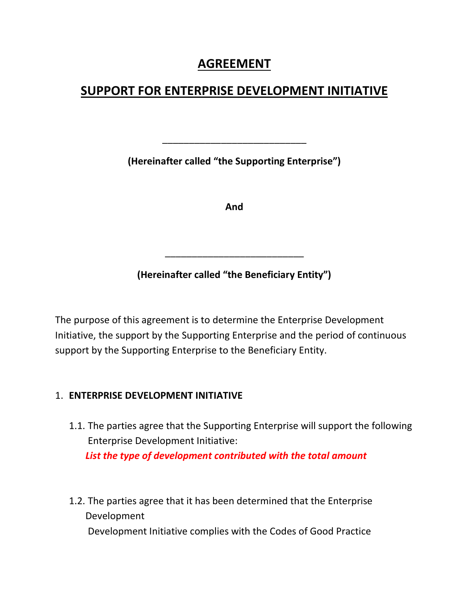# **AGREEMENT**

# **SUPPORT FOR ENTERPRISE DEVELOPMENT INITIATIVE**

**(Hereinafter called "the Supporting Enterprise")**

\_\_\_\_\_\_\_\_\_\_\_\_\_\_\_\_\_\_\_\_\_\_\_\_\_\_\_

**And**

**(Hereinafter called "the Beneficiary Entity")**

\_\_\_\_\_\_\_\_\_\_\_\_\_\_\_\_\_\_\_\_\_\_\_\_\_\_

The purpose of this agreement is to determine the Enterprise Development Initiative, the support by the Supporting Enterprise and the period of continuous support by the Supporting Enterprise to the Beneficiary Entity.

### 1. **ENTERPRISE DEVELOPMENT INITIATIVE**

- 1.1. The parties agree that the Supporting Enterprise will support the following Enterprise Development Initiative: *List the type of development contributed with the total amount*
- 1.2. The parties agree that it has been determined that the Enterprise Development Development Initiative complies with the Codes of Good Practice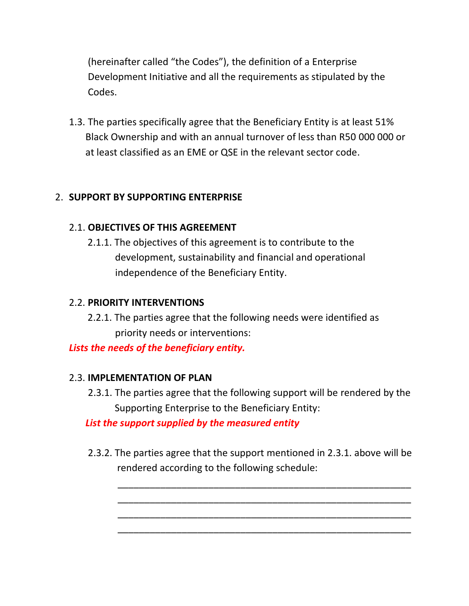(hereinafter called "the Codes"), the definition of a Enterprise Development Initiative and all the requirements as stipulated by the Codes.

1.3. The parties specifically agree that the Beneficiary Entity is at least 51% Black Ownership and with an annual turnover of less than R50 000 000 or at least classified as an EME or QSE in the relevant sector code.

## 2. **SUPPORT BY SUPPORTING ENTERPRISE**

## 2.1. **OBJECTIVES OF THIS AGREEMENT**

 2.1.1. The objectives of this agreement is to contribute to the development, sustainability and financial and operational independence of the Beneficiary Entity.

## 2.2. **PRIORITY INTERVENTIONS**

 2.2.1. The parties agree that the following needs were identified as priority needs or interventions:

# *Lists the needs of the beneficiary entity.*

### 2.3. **IMPLEMENTATION OF PLAN**

2.3.1. The parties agree that the following support will be rendered by the Supporting Enterprise to the Beneficiary Entity:

*List the support supplied by the measured entity*

2.3.2. The parties agree that the support mentioned in 2.3.1. above will be rendered according to the following schedule:

 \_\_\_\_\_\_\_\_\_\_\_\_\_\_\_\_\_\_\_\_\_\_\_\_\_\_\_\_\_\_\_\_\_\_\_\_\_\_\_\_\_\_\_\_\_\_\_\_\_\_\_\_\_\_\_ \_\_\_\_\_\_\_\_\_\_\_\_\_\_\_\_\_\_\_\_\_\_\_\_\_\_\_\_\_\_\_\_\_\_\_\_\_\_\_\_\_\_\_\_\_\_\_\_\_\_\_\_\_\_\_ \_\_\_\_\_\_\_\_\_\_\_\_\_\_\_\_\_\_\_\_\_\_\_\_\_\_\_\_\_\_\_\_\_\_\_\_\_\_\_\_\_\_\_\_\_\_\_\_\_\_\_\_\_\_\_ \_\_\_\_\_\_\_\_\_\_\_\_\_\_\_\_\_\_\_\_\_\_\_\_\_\_\_\_\_\_\_\_\_\_\_\_\_\_\_\_\_\_\_\_\_\_\_\_\_\_\_\_\_\_\_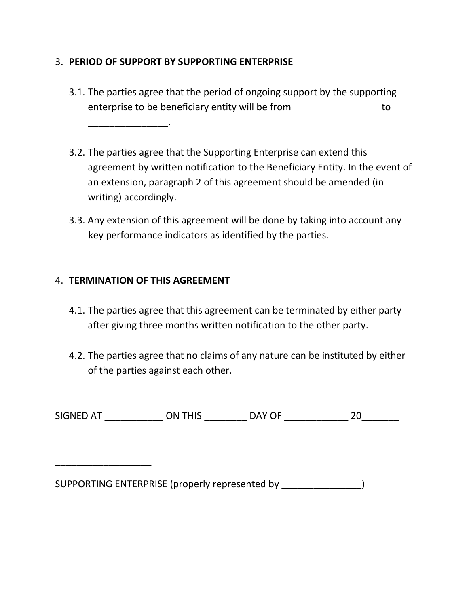## 3. **PERIOD OF SUPPORT BY SUPPORTING ENTERPRISE**

- 3.1. The parties agree that the period of ongoing support by the supporting enterprise to be beneficiary entity will be from \_\_\_\_\_\_\_\_\_\_\_\_\_\_\_\_\_\_\_ to
- 3.2. The parties agree that the Supporting Enterprise can extend this agreement by written notification to the Beneficiary Entity. In the event of an extension, paragraph 2 of this agreement should be amended (in writing) accordingly.
- 3.3. Any extension of this agreement will be done by taking into account any key performance indicators as identified by the parties.

### 4. **TERMINATION OF THIS AGREEMENT**

\_\_\_\_\_\_\_\_\_\_\_\_\_\_\_\_\_\_

\_\_\_\_\_\_\_\_\_\_\_\_\_\_\_\_\_\_

\_\_\_\_\_\_\_\_\_\_\_\_\_\_\_.

- 4.1. The parties agree that this agreement can be terminated by either party after giving three months written notification to the other party.
- 4.2. The parties agree that no claims of any nature can be instituted by either of the parties against each other.

SIGNED AT \_\_\_\_\_\_\_\_\_\_\_ ON THIS \_\_\_\_\_\_\_\_ DAY OF \_\_\_\_\_\_\_\_\_\_\_\_\_\_ 20\_\_\_\_\_\_\_\_\_\_

SUPPORTING ENTERPRISE (properly represented by  $\vert$ )